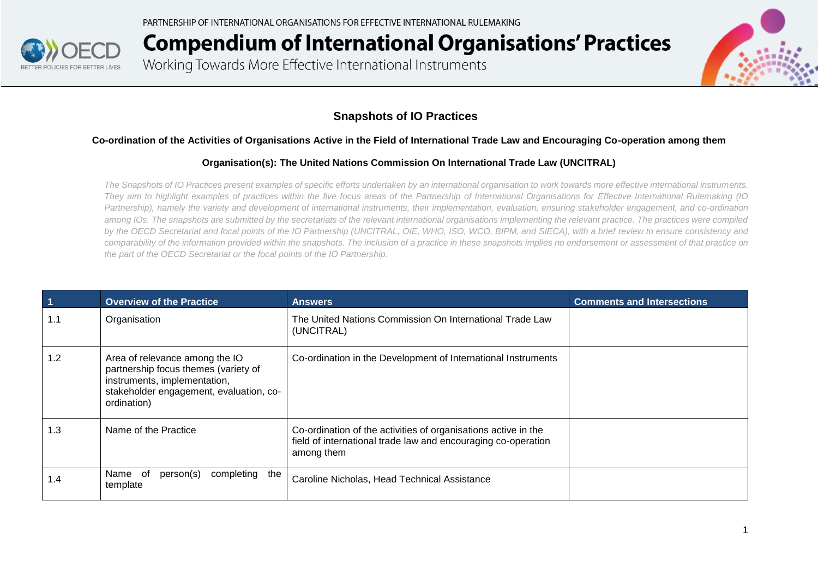

Working Towards More Effective International Instruments



#### **Snapshots of IO Practices**

#### **Co-ordination of the Activities of Organisations Active in the Field of International Trade Law and Encouraging Co-operation among them**

#### **Organisation(s): The United Nations Commission On International Trade Law (UNCITRAL)**

*The Snapshots of IO Practices present examples of specific efforts undertaken by an international organisation to work towards more effective international instruments. They aim to highlight examples of practices within the five focus areas of the Partnership of International Organisations for Effective International Rulemaking (IO Partnership), namely the variety and development of international instruments, their implementation, evaluation, ensuring stakeholder engagement, and co-ordination among IOs. The snapshots are submitted by the secretariats of the relevant international organisations implementing the relevant practice. The practices were compiled by the OECD Secretariat and focal points of the IO Partnership (UNCITRAL, OIE, WHO, ISO, WCO, BIPM, and SIECA), with a brief review to ensure consistency and comparability of the information provided within the snapshots. The inclusion of a practice in these snapshots implies no endorsement or assessment of that practice on the part of the OECD Secretariat or the focal points of the IO Partnership.*

| $\vert$ 1 | <b>Overview of the Practice</b>                                                                                                                                  | <b>Answers</b>                                                                                                                                | <b>Comments and Intersections</b> |
|-----------|------------------------------------------------------------------------------------------------------------------------------------------------------------------|-----------------------------------------------------------------------------------------------------------------------------------------------|-----------------------------------|
| 1.1       | Organisation                                                                                                                                                     | The United Nations Commission On International Trade Law<br>(UNCITRAL)                                                                        |                                   |
| 1.2       | Area of relevance among the IO<br>partnership focus themes (variety of<br>instruments, implementation,<br>stakeholder engagement, evaluation, co-<br>ordination) | Co-ordination in the Development of International Instruments                                                                                 |                                   |
| 1.3       | Name of the Practice                                                                                                                                             | Co-ordination of the activities of organisations active in the<br>field of international trade law and encouraging co-operation<br>among them |                                   |
| l .4      | Name<br>person(s)<br>completing<br>of<br>the<br>template                                                                                                         | Caroline Nicholas, Head Technical Assistance                                                                                                  |                                   |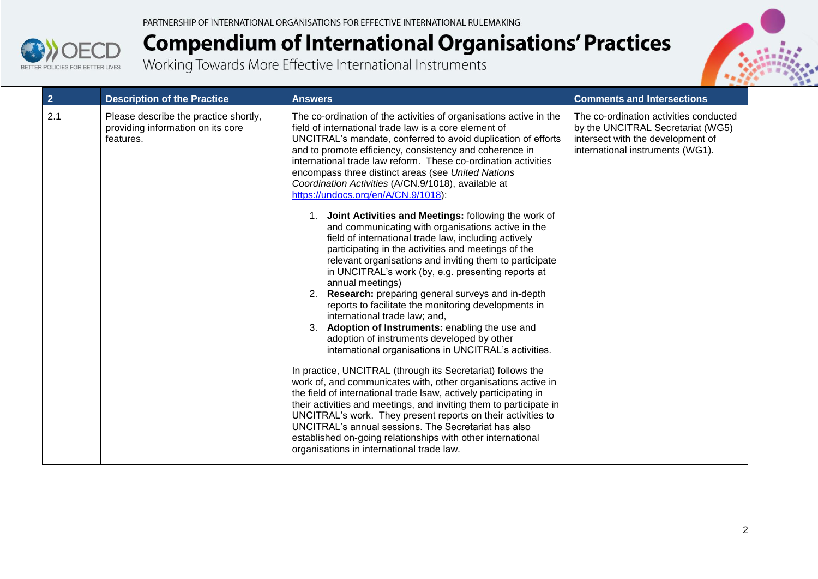



| 2 <sup>2</sup> | <b>Description of the Practice</b>                                                      | <b>Answers</b>                                                                                                                                                                                                                                                                                                                                                                                                                                                                                                                                                                                                                                                                                                                                                                                                                                                                                                                                                                                                                                                                                                                                                                                                                                                                                                                                                                                                                                                                                                                                                                                                                 | <b>Comments and Intersections</b>                                                                                                                    |
|----------------|-----------------------------------------------------------------------------------------|--------------------------------------------------------------------------------------------------------------------------------------------------------------------------------------------------------------------------------------------------------------------------------------------------------------------------------------------------------------------------------------------------------------------------------------------------------------------------------------------------------------------------------------------------------------------------------------------------------------------------------------------------------------------------------------------------------------------------------------------------------------------------------------------------------------------------------------------------------------------------------------------------------------------------------------------------------------------------------------------------------------------------------------------------------------------------------------------------------------------------------------------------------------------------------------------------------------------------------------------------------------------------------------------------------------------------------------------------------------------------------------------------------------------------------------------------------------------------------------------------------------------------------------------------------------------------------------------------------------------------------|------------------------------------------------------------------------------------------------------------------------------------------------------|
| 2.1            | Please describe the practice shortly,<br>providing information on its core<br>features. | The co-ordination of the activities of organisations active in the<br>field of international trade law is a core element of<br>UNCITRAL's mandate, conferred to avoid duplication of efforts<br>and to promote efficiency, consistency and coherence in<br>international trade law reform. These co-ordination activities<br>encompass three distinct areas (see United Nations<br>Coordination Activities (A/CN.9/1018), available at<br>https://undocs.org/en/A/CN.9/1018):<br>1. Joint Activities and Meetings: following the work of<br>and communicating with organisations active in the<br>field of international trade law, including actively<br>participating in the activities and meetings of the<br>relevant organisations and inviting them to participate<br>in UNCITRAL's work (by, e.g. presenting reports at<br>annual meetings)<br>2. Research: preparing general surveys and in-depth<br>reports to facilitate the monitoring developments in<br>international trade law; and,<br>3. Adoption of Instruments: enabling the use and<br>adoption of instruments developed by other<br>international organisations in UNCITRAL's activities.<br>In practice, UNCITRAL (through its Secretariat) follows the<br>work of, and communicates with, other organisations active in<br>the field of international trade Isaw, actively participating in<br>their activities and meetings, and inviting them to participate in<br>UNCITRAL's work. They present reports on their activities to<br>UNCITRAL's annual sessions. The Secretariat has also<br>established on-going relationships with other international | The co-ordination activities conducted<br>by the UNCITRAL Secretariat (WG5)<br>intersect with the development of<br>international instruments (WG1). |
|                |                                                                                         | organisations in international trade law.                                                                                                                                                                                                                                                                                                                                                                                                                                                                                                                                                                                                                                                                                                                                                                                                                                                                                                                                                                                                                                                                                                                                                                                                                                                                                                                                                                                                                                                                                                                                                                                      |                                                                                                                                                      |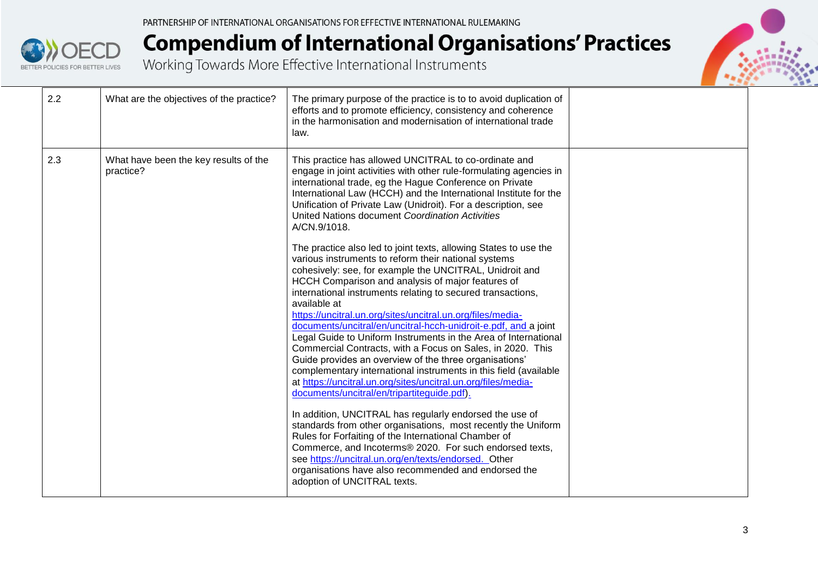



| 2.2 | What are the objectives of the practice?           | The primary purpose of the practice is to to avoid duplication of<br>efforts and to promote efficiency, consistency and coherence<br>in the harmonisation and modernisation of international trade<br>law.                                                                                                                                                                                                                                                                                                                                                                                                                                                                                                                                                                                                                                                                                                                                                                                                                                                                                                                                                                                                                            |  |
|-----|----------------------------------------------------|---------------------------------------------------------------------------------------------------------------------------------------------------------------------------------------------------------------------------------------------------------------------------------------------------------------------------------------------------------------------------------------------------------------------------------------------------------------------------------------------------------------------------------------------------------------------------------------------------------------------------------------------------------------------------------------------------------------------------------------------------------------------------------------------------------------------------------------------------------------------------------------------------------------------------------------------------------------------------------------------------------------------------------------------------------------------------------------------------------------------------------------------------------------------------------------------------------------------------------------|--|
| 2.3 | What have been the key results of the<br>practice? | This practice has allowed UNCITRAL to co-ordinate and<br>engage in joint activities with other rule-formulating agencies in<br>international trade, eg the Hague Conference on Private<br>International Law (HCCH) and the International Institute for the<br>Unification of Private Law (Unidroit). For a description, see<br>United Nations document Coordination Activities<br>A/CN.9/1018.                                                                                                                                                                                                                                                                                                                                                                                                                                                                                                                                                                                                                                                                                                                                                                                                                                        |  |
|     |                                                    | The practice also led to joint texts, allowing States to use the<br>various instruments to reform their national systems<br>cohesively: see, for example the UNCITRAL, Unidroit and<br>HCCH Comparison and analysis of major features of<br>international instruments relating to secured transactions,<br>available at<br>https://uncitral.un.org/sites/uncitral.un.org/files/media-<br>documents/uncitral/en/uncitral-hcch-unidroit-e.pdf, and a joint<br>Legal Guide to Uniform Instruments in the Area of International<br>Commercial Contracts, with a Focus on Sales, in 2020. This<br>Guide provides an overview of the three organisations'<br>complementary international instruments in this field (available<br>at https://uncitral.un.org/sites/uncitral.un.org/files/media-<br>documents/uncitral/en/tripartiteguide.pdf).<br>In addition, UNCITRAL has regularly endorsed the use of<br>standards from other organisations, most recently the Uniform<br>Rules for Forfaiting of the International Chamber of<br>Commerce, and Incoterms® 2020. For such endorsed texts,<br>see https://uncitral.un.org/en/texts/endorsed. Other<br>organisations have also recommended and endorsed the<br>adoption of UNCITRAL texts. |  |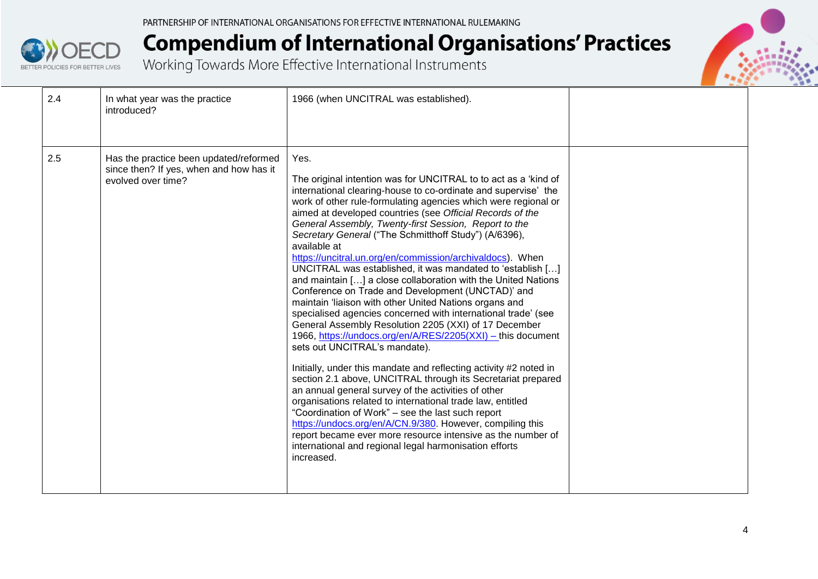



| 2.4 | In what year was the practice<br>introduced?                                                            | 1966 (when UNCITRAL was established).                                                                                                                                                                                                                                                                                                                                                                                                                                                                                                                                                                                                                                                                                                                                                                                                                                                                                                                                                                                                                                                                                                                                                                                                                                                                                                                                                                                                                              |  |
|-----|---------------------------------------------------------------------------------------------------------|--------------------------------------------------------------------------------------------------------------------------------------------------------------------------------------------------------------------------------------------------------------------------------------------------------------------------------------------------------------------------------------------------------------------------------------------------------------------------------------------------------------------------------------------------------------------------------------------------------------------------------------------------------------------------------------------------------------------------------------------------------------------------------------------------------------------------------------------------------------------------------------------------------------------------------------------------------------------------------------------------------------------------------------------------------------------------------------------------------------------------------------------------------------------------------------------------------------------------------------------------------------------------------------------------------------------------------------------------------------------------------------------------------------------------------------------------------------------|--|
| 2.5 | Has the practice been updated/reformed<br>since then? If yes, when and how has it<br>evolved over time? | Yes.<br>The original intention was for UNCITRAL to to act as a 'kind of<br>international clearing-house to co-ordinate and supervise' the<br>work of other rule-formulating agencies which were regional or<br>aimed at developed countries (see Official Records of the<br>General Assembly, Twenty-first Session, Report to the<br>Secretary General ("The Schmitthoff Study") (A/6396),<br>available at<br>https://uncitral.un.org/en/commission/archivaldocs). When<br>UNCITRAL was established, it was mandated to 'establish []<br>and maintain [] a close collaboration with the United Nations<br>Conference on Trade and Development (UNCTAD)' and<br>maintain 'liaison with other United Nations organs and<br>specialised agencies concerned with international trade' (see<br>General Assembly Resolution 2205 (XXI) of 17 December<br>1966, https://undocs.org/en/A/RES/2205(XXI) - this document<br>sets out UNCITRAL's mandate).<br>Initially, under this mandate and reflecting activity #2 noted in<br>section 2.1 above, UNCITRAL through its Secretariat prepared<br>an annual general survey of the activities of other<br>organisations related to international trade law, entitled<br>"Coordination of Work" – see the last such report<br>https://undocs.org/en/A/CN.9/380. However, compiling this<br>report became ever more resource intensive as the number of<br>international and regional legal harmonisation efforts<br>increased. |  |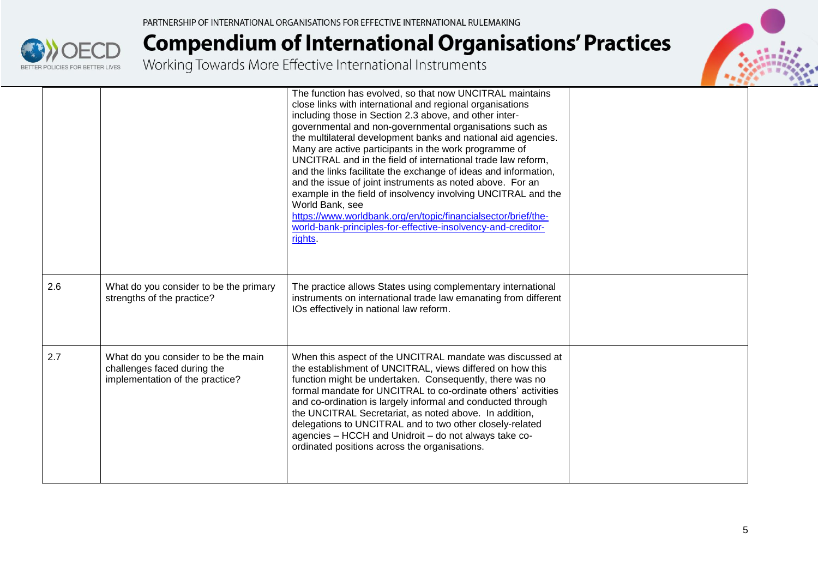

|     |                                                                                                       | The function has evolved, so that now UNCITRAL maintains<br>close links with international and regional organisations<br>including those in Section 2.3 above, and other inter-<br>governmental and non-governmental organisations such as<br>the multilateral development banks and national aid agencies.<br>Many are active participants in the work programme of<br>UNCITRAL and in the field of international trade law reform,<br>and the links facilitate the exchange of ideas and information,<br>and the issue of joint instruments as noted above. For an<br>example in the field of insolvency involving UNCITRAL and the<br>World Bank, see<br>https://www.worldbank.org/en/topic/financialsector/brief/the-<br>world-bank-principles-for-effective-insolvency-and-creditor-<br>rights. |  |
|-----|-------------------------------------------------------------------------------------------------------|------------------------------------------------------------------------------------------------------------------------------------------------------------------------------------------------------------------------------------------------------------------------------------------------------------------------------------------------------------------------------------------------------------------------------------------------------------------------------------------------------------------------------------------------------------------------------------------------------------------------------------------------------------------------------------------------------------------------------------------------------------------------------------------------------|--|
| 2.6 | What do you consider to be the primary<br>strengths of the practice?                                  | The practice allows States using complementary international<br>instruments on international trade law emanating from different<br>IOs effectively in national law reform.                                                                                                                                                                                                                                                                                                                                                                                                                                                                                                                                                                                                                           |  |
| 2.7 | What do you consider to be the main<br>challenges faced during the<br>implementation of the practice? | When this aspect of the UNCITRAL mandate was discussed at<br>the establishment of UNCITRAL, views differed on how this<br>function might be undertaken. Consequently, there was no<br>formal mandate for UNCITRAL to co-ordinate others' activities<br>and co-ordination is largely informal and conducted through<br>the UNCITRAL Secretariat, as noted above. In addition,<br>delegations to UNCITRAL and to two other closely-related<br>agencies - HCCH and Unidroit - do not always take co-<br>ordinated positions across the organisations.                                                                                                                                                                                                                                                   |  |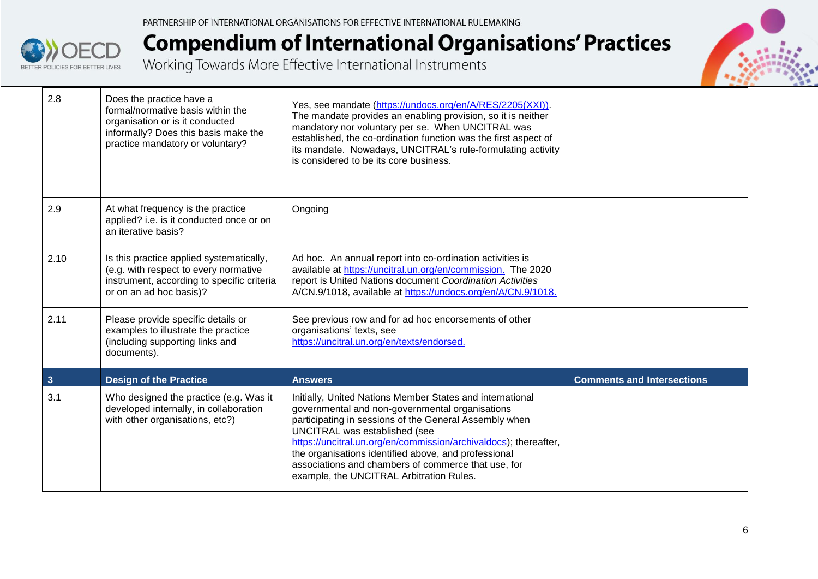| 2.8                     | Does the practice have a<br>formal/normative basis within the<br>organisation or is it conducted<br>informally? Does this basis make the<br>practice mandatory or voluntary? | Yes, see mandate (https://undocs.org/en/A/RES/2205(XXI)).<br>The mandate provides an enabling provision, so it is neither<br>mandatory nor voluntary per se. When UNCITRAL was<br>established, the co-ordination function was the first aspect of<br>its mandate. Nowadays, UNCITRAL's rule-formulating activity<br>is considered to be its core business.                                                                             |                                   |
|-------------------------|------------------------------------------------------------------------------------------------------------------------------------------------------------------------------|----------------------------------------------------------------------------------------------------------------------------------------------------------------------------------------------------------------------------------------------------------------------------------------------------------------------------------------------------------------------------------------------------------------------------------------|-----------------------------------|
| 2.9                     | At what frequency is the practice<br>applied? i.e. is it conducted once or on<br>an iterative basis?                                                                         | Ongoing                                                                                                                                                                                                                                                                                                                                                                                                                                |                                   |
| 2.10                    | Is this practice applied systematically,<br>(e.g. with respect to every normative<br>instrument, according to specific criteria<br>or on an ad hoc basis)?                   | Ad hoc. An annual report into co-ordination activities is<br>available at https://uncitral.un.org/en/commission. The 2020<br>report is United Nations document Coordination Activities<br>A/CN.9/1018, available at https://undocs.org/en/A/CN.9/1018.                                                                                                                                                                                 |                                   |
| 2.11                    | Please provide specific details or<br>examples to illustrate the practice<br>(including supporting links and<br>documents).                                                  | See previous row and for ad hoc encorsements of other<br>organisations' texts, see<br>https://uncitral.un.org/en/texts/endorsed.                                                                                                                                                                                                                                                                                                       |                                   |
| $\overline{\mathbf{3}}$ | <b>Design of the Practice</b>                                                                                                                                                | <b>Answers</b>                                                                                                                                                                                                                                                                                                                                                                                                                         | <b>Comments and Intersections</b> |
| 3.1                     | Who designed the practice (e.g. Was it<br>developed internally, in collaboration<br>with other organisations, etc?)                                                          | Initially, United Nations Member States and international<br>governmental and non-governmental organisations<br>participating in sessions of the General Assembly when<br>UNCITRAL was established (see<br>https://uncitral.un.org/en/commission/archivaldocs); thereafter,<br>the organisations identified above, and professional<br>associations and chambers of commerce that use, for<br>example, the UNCITRAL Arbitration Rules. |                                   |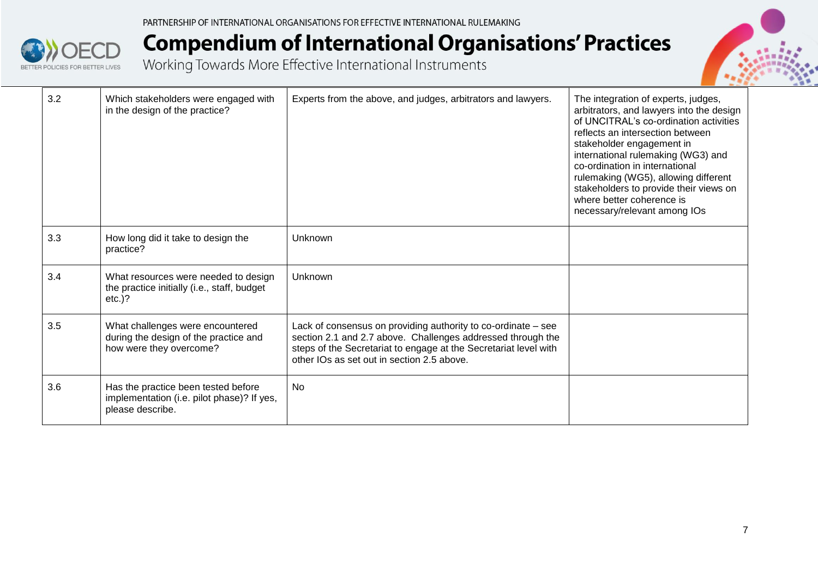

| 3.2 | Which stakeholders were engaged with<br>in the design of the practice?                                | Experts from the above, and judges, arbitrators and lawyers.                                                                                                                                                                                   | The integration of experts, judges,<br>arbitrators, and lawyers into the design<br>of UNCITRAL's co-ordination activities<br>reflects an intersection between<br>stakeholder engagement in<br>international rulemaking (WG3) and<br>co-ordination in international<br>rulemaking (WG5), allowing different<br>stakeholders to provide their views on<br>where better coherence is<br>necessary/relevant among IOs |
|-----|-------------------------------------------------------------------------------------------------------|------------------------------------------------------------------------------------------------------------------------------------------------------------------------------------------------------------------------------------------------|-------------------------------------------------------------------------------------------------------------------------------------------------------------------------------------------------------------------------------------------------------------------------------------------------------------------------------------------------------------------------------------------------------------------|
| 3.3 | How long did it take to design the<br>practice?                                                       | Unknown                                                                                                                                                                                                                                        |                                                                                                                                                                                                                                                                                                                                                                                                                   |
| 3.4 | What resources were needed to design<br>the practice initially (i.e., staff, budget<br>$etc.)$ ?      | Unknown                                                                                                                                                                                                                                        |                                                                                                                                                                                                                                                                                                                                                                                                                   |
| 3.5 | What challenges were encountered<br>during the design of the practice and<br>how were they overcome?  | Lack of consensus on providing authority to co-ordinate - see<br>section 2.1 and 2.7 above. Challenges addressed through the<br>steps of the Secretariat to engage at the Secretariat level with<br>other IOs as set out in section 2.5 above. |                                                                                                                                                                                                                                                                                                                                                                                                                   |
| 3.6 | Has the practice been tested before<br>implementation (i.e. pilot phase)? If yes,<br>please describe. | <b>No</b>                                                                                                                                                                                                                                      |                                                                                                                                                                                                                                                                                                                                                                                                                   |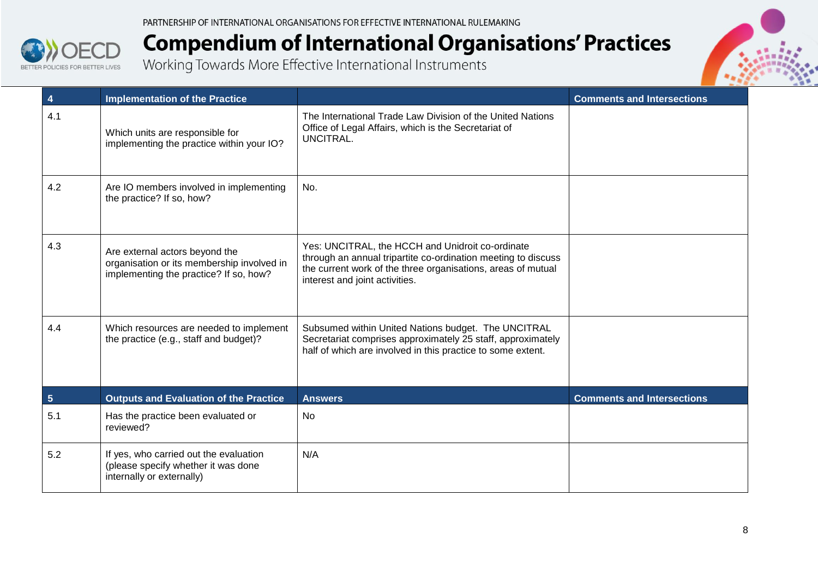

| 4              | <b>Implementation of the Practice</b>                                                                                  |                                                                                                                                                                                                                     | <b>Comments and Intersections</b> |
|----------------|------------------------------------------------------------------------------------------------------------------------|---------------------------------------------------------------------------------------------------------------------------------------------------------------------------------------------------------------------|-----------------------------------|
| 4.1            | Which units are responsible for<br>implementing the practice within your IO?                                           | The International Trade Law Division of the United Nations<br>Office of Legal Affairs, which is the Secretariat of<br>UNCITRAL.                                                                                     |                                   |
| 4.2            | Are IO members involved in implementing<br>the practice? If so, how?                                                   | No.                                                                                                                                                                                                                 |                                   |
| 4.3            | Are external actors beyond the<br>organisation or its membership involved in<br>implementing the practice? If so, how? | Yes: UNCITRAL, the HCCH and Unidroit co-ordinate<br>through an annual tripartite co-ordination meeting to discuss<br>the current work of the three organisations, areas of mutual<br>interest and joint activities. |                                   |
| 4.4            | Which resources are needed to implement<br>the practice (e.g., staff and budget)?                                      | Subsumed within United Nations budget. The UNCITRAL<br>Secretariat comprises approximately 25 staff, approximately<br>half of which are involved in this practice to some extent.                                   |                                   |
| $5\phantom{1}$ | <b>Outputs and Evaluation of the Practice</b>                                                                          | <b>Answers</b>                                                                                                                                                                                                      | <b>Comments and Intersections</b> |
| 5.1            | Has the practice been evaluated or<br>reviewed?                                                                        | <b>No</b>                                                                                                                                                                                                           |                                   |
| 5.2            | If yes, who carried out the evaluation<br>(please specify whether it was done<br>internally or externally)             | N/A                                                                                                                                                                                                                 |                                   |